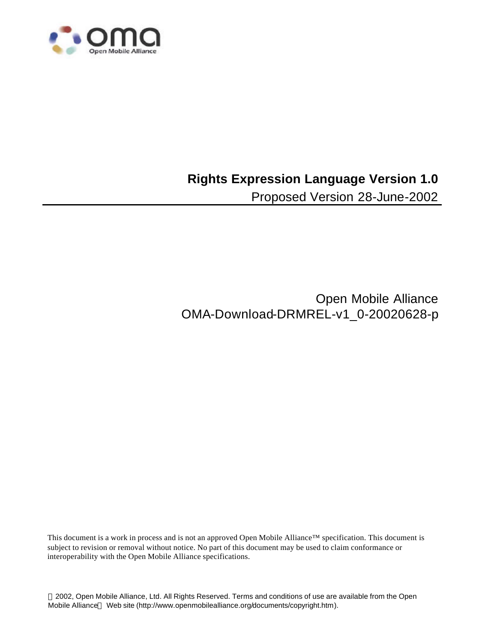

# **Rights Expression Language Version 1.0**

Proposed Version 28-June-2002

Open Mobile Alliance OMA-Download-DRMREL-v1\_0-20020628-p

This document is a work in process and is not an approved Open Mobile Alliance™ specification. This document is subject to revision or removal without notice. No part of this document may be used to claim conformance or interoperability with the Open Mobile Alliance specifications.

 2002, Open Mobile Alliance, Ltd. All Rights Reserved. Terms and conditions of use are available from the Open Mobile Alliance™ Web site (http://www.openmobilealliance.org/documents/copyright.htm).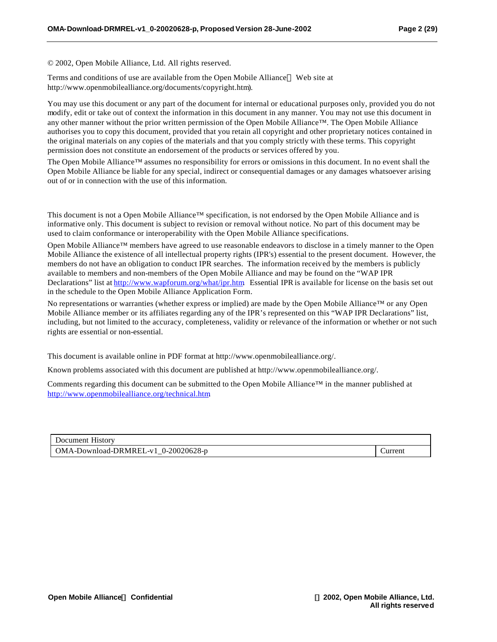© 2002, Open Mobile Alliance, Ltd. All rights reserved.

Terms and conditions of use are available from the Open Mobile Alliance<sup>TM</sup> Web site at http://www.openmobilealliance.org/documents/copyright.htm).

You may use this document or any part of the document for internal or educational purposes only, provided you do not modify, edit or take out of context the information in this document in any manner. You may not use this document in any other manner without the prior written permission of the Open Mobile Alliance™. The Open Mobile Alliance authorises you to copy this document, provided that you retain all copyright and other proprietary notices contained in the original materials on any copies of the materials and that you comply strictly with these terms. This copyright permission does not constitute an endorsement of the products or services offered by you.

The Open Mobile Alliance™ assumes no responsibility for errors or omissions in this document. In no event shall the Open Mobile Alliance be liable for any special, indirect or consequential damages or any damages whatsoever arising out of or in connection with the use of this information*.*

This document is not a Open Mobile Alliance™ specification, is not endorsed by the Open Mobile Alliance and is informative only. This document is subject to revision or removal without notice. No part of this document may be used to claim conformance or interoperability with the Open Mobile Alliance specifications.

Open Mobile Alliance™ members have agreed to use reasonable endeavors to disclose in a timely manner to the Open Mobile Alliance the existence of all intellectual property rights (IPR's) essential to the present document. However, the members do not have an obligation to conduct IPR searches. The information received by the members is publicly available to members and non-members of the Open Mobile Alliance and may be found on the "WAP IPR Declarations" list at http://www.wapforum.org/what/ipr.htm. Essential IPR is available for license on the basis set out in the schedule to the Open Mobile Alliance Application Form.

No representations or warranties (whether express or implied) are made by the Open Mobile Alliance™ or any Open Mobile Alliance member or its affiliates regarding any of the IPR's represented on this "WAP IPR Declarations" list, including, but not limited to the accuracy, completeness, validity or relevance of the information or whether or not such rights are essential or non-essential.

This document is available online in PDF format at http://www.openmobilealliance.org/.

Known problems associated with this document are published at http://www.openmobilealliance.org/.

Comments regarding this document can be submitted to the Open Mobile Alliance™ in the manner published at http://www.openmobilealliance.org/technical.htm.

| Document History                    |                |
|-------------------------------------|----------------|
| OMA-Download-DRMREL-v1 0-20020628-p | <b>Current</b> |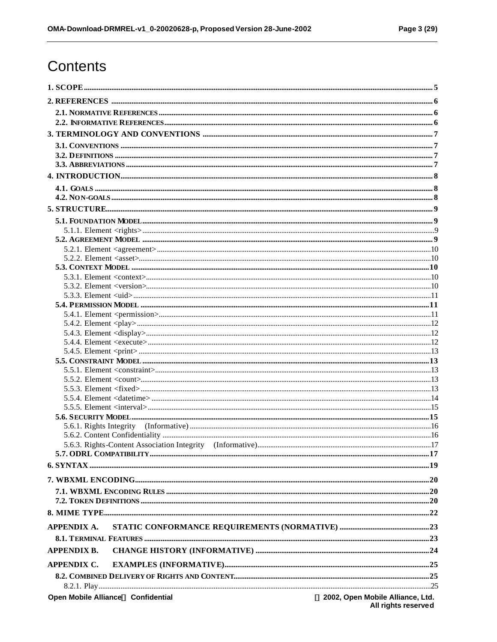# Contents

| 5.5.2. Element <count> manuscription of the count of the state of the state of the state of the state of the state of the state of the state of the state of the state of the state of the state of the state of the state of</count> |                                           |
|---------------------------------------------------------------------------------------------------------------------------------------------------------------------------------------------------------------------------------------|-------------------------------------------|
|                                                                                                                                                                                                                                       |                                           |
|                                                                                                                                                                                                                                       |                                           |
|                                                                                                                                                                                                                                       |                                           |
|                                                                                                                                                                                                                                       |                                           |
|                                                                                                                                                                                                                                       |                                           |
|                                                                                                                                                                                                                                       |                                           |
|                                                                                                                                                                                                                                       |                                           |
|                                                                                                                                                                                                                                       |                                           |
|                                                                                                                                                                                                                                       |                                           |
|                                                                                                                                                                                                                                       |                                           |
|                                                                                                                                                                                                                                       |                                           |
|                                                                                                                                                                                                                                       |                                           |
|                                                                                                                                                                                                                                       |                                           |
| <b>APPENDIX A.</b>                                                                                                                                                                                                                    |                                           |
|                                                                                                                                                                                                                                       |                                           |
| <b>APPENDIX B.</b>                                                                                                                                                                                                                    |                                           |
| <b>APPENDIX C.</b>                                                                                                                                                                                                                    |                                           |
|                                                                                                                                                                                                                                       |                                           |
|                                                                                                                                                                                                                                       |                                           |
| Open Mobile AllianceÔ Confidential                                                                                                                                                                                                    | <b>Ó</b> 2002, Open Mobile Alliance, Ltd. |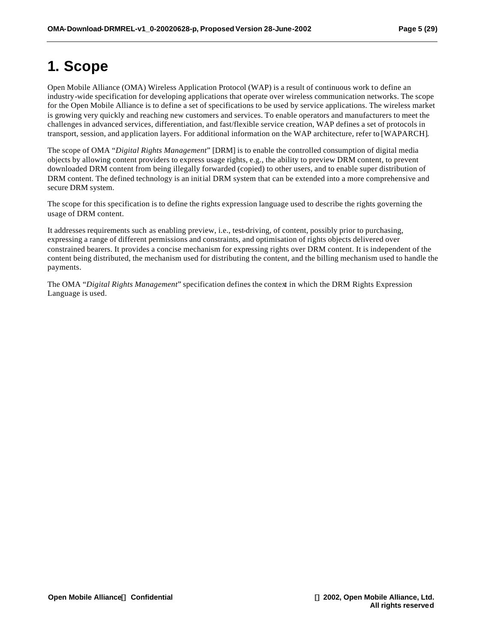# **1. Scope**

Open Mobile Alliance (OMA) Wireless Application Protocol (WAP) is a result of continuous work to define an industry-wide specification for developing applications that operate over wireless communication networks. The scope for the Open Mobile Alliance is to define a set of specifications to be used by service applications. The wireless market is growing very quickly and reaching new customers and services. To enable operators and manufacturers to meet the challenges in advanced services, differentiation, and fast/flexible service creation, WAP defines a set of protocols in transport, session, and application layers. For additional information on the WAP architecture, refer to [WAPARCH].

The scope of OMA "*Digital Rights Management*" [DRM] is to enable the controlled consumption of digital media objects by allowing content providers to express usage rights, e.g., the ability to preview DRM content, to prevent downloaded DRM content from being illegally forwarded (copied) to other users, and to enable super distribution of DRM content. The defined technology is an initial DRM system that can be extended into a more comprehensive and secure DRM system.

The scope for this specification is to define the rights expression language used to describe the rights governing the usage of DRM content.

It addresses requirements such as enabling preview, i.e., test-driving, of content, possibly prior to purchasing, expressing a range of different permissions and constraints, and optimisation of rights objects delivered over constrained bearers. It provides a concise mechanism for expressing rights over DRM content. It is independent of the content being distributed, the mechanism used for distributing the content, and the billing mechanism used to handle the payments.

The OMA "*Digital Rights Management*" specification defines the context in which the DRM Rights Expression Language is used.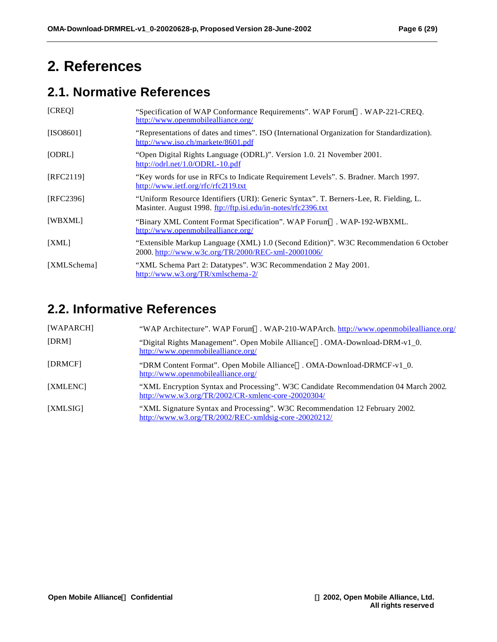# **2. References**

## **2.1. Normative References**

| [CREQ]      | "Specification of WAP Conformance Requirements". WAP Forum™. WAP-221-CREQ.<br>http://www.openmobilealliance.org/                                       |
|-------------|--------------------------------------------------------------------------------------------------------------------------------------------------------|
| [ISO8601]   | "Representations of dates and times". ISO (International Organization for Standardization).<br>http://www.iso.ch/markete/8601.pdf                      |
| [ODRL]      | "Open Digital Rights Language (ODRL)". Version 1.0. 21 November 2001.<br>http://odrl.net/1.0/ODRL-10.pdf                                               |
| [RFC2119]   | "Key words for use in RFCs to Indicate Requirement Levels". S. Bradner. March 1997.<br>http://www.ietf.org/rfc/rfc2119.txt                             |
| [RFC2396]   | "Uniform Resource Identifiers (URI): Generic Syntax". T. Berners-Lee, R. Fielding, L.<br>Masinter. August 1998. ftp://ftp.isi.edu/in-notes/rfc2396.txt |
| [WBXML]     | "Binary XML Content Format Specification". WAP Forum™. WAP-192-WBXML.<br>http://www.openmobilealliance.org/                                            |
| [XML]       | "Extensible Markup Language (XML) 1.0 (Second Edition)". W3C Recommendation 6 October<br>2000. http://www.w3c.org/TR/2000/REC-xml-20001006/            |
| [XMLSchema] | "XML Schema Part 2: Datatypes". W3C Recommendation 2 May 2001.<br>http://www.w3.org/TR/xmlschema-2/                                                    |

### **2.2. Informative References**

| [WAPARCH] | "WAP Architecture". WAP Forum <sup>TM</sup> . WAP-210-WAPArch. http://www.openmobilealliance.org/                                                                    |
|-----------|----------------------------------------------------------------------------------------------------------------------------------------------------------------------|
| [DRM]     | "Digital Rights Management". Open Mobile Alliance <sup>TM</sup> . OMA-Download-DRM-v1_0.<br>http://www.openmobilealliance.org/                                       |
| [DRMCF]   | "DRM Content Format". Open Mobile Alliance™. OMA-Download-DRMCF-v1_0.<br>http://www.openmobilealliance.org/                                                          |
| [XMLENC]  | "XML Encryption Syntax and Processing". W3C Candidate Recommendation 04 March 2002.<br>$\frac{\text{http://www.w3.org/TR/2002/CR-xmlenc-core -20020304/}}{20020304}$ |
| [XMLSIG]  | "XML Signature Syntax and Processing". W3C Recommendation 12 February 2002.<br>$\frac{\text{http://www.w3.org/TR/2002/REC - xmldsig-core -20020212/}}{$              |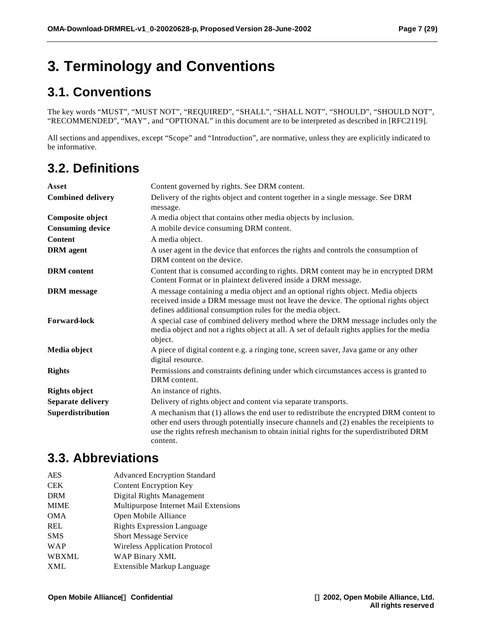# **3. Terminology and Conventions**

# **3.1. Conventions**

The key words "MUST", "MUST NOT", "REQUIRED", "SHALL", "SHALL NOT", "SHOULD", "SHOULD NOT", "RECOMMENDED", "MAY" , and "OPTIONAL" in this document are to be interpreted as described in [RFC2119].

All sections and appendixes, except "Scope" and "Introduction", are normative, unless they are explicitly indicated to be informative.

# **3.2. Definitions**

| Asset                    | Content governed by rights. See DRM content.                                                                                                                                                                                                                                            |
|--------------------------|-----------------------------------------------------------------------------------------------------------------------------------------------------------------------------------------------------------------------------------------------------------------------------------------|
| <b>Combined delivery</b> | Delivery of the rights object and content together in a single message. See DRM<br>message.                                                                                                                                                                                             |
| Composite object         | A media object that contains other media objects by inclusion.                                                                                                                                                                                                                          |
| <b>Consuming device</b>  | A mobile device consuming DRM content.                                                                                                                                                                                                                                                  |
| <b>Content</b>           | A media object.                                                                                                                                                                                                                                                                         |
| <b>DRM</b> agent         | A user agent in the device that enforces the rights and controls the consumption of<br>DRM content on the device.                                                                                                                                                                       |
| <b>DRM</b> content       | Content that is consumed according to rights. DRM content may be in encrypted DRM<br>Content Format or in plaintext delivered inside a DRM message.                                                                                                                                     |
| <b>DRM</b> message       | A message containing a media object and an optional rights object. Media objects<br>received inside a DRM message must not leave the device. The optional rights object<br>defines additional consumption rules for the media object.                                                   |
| <b>Forward-lock</b>      | A special case of combined delivery method where the DRM message includes only the<br>media object and not a rights object at all. A set of default rights applies for the media<br>object.                                                                                             |
| Media object             | A piece of digital content e.g. a ringing tone, screen saver, Java game or any other<br>digital resource.                                                                                                                                                                               |
| <b>Rights</b>            | Permissions and constraints defining under which circumstances access is granted to<br>DRM content.                                                                                                                                                                                     |
| <b>Rights object</b>     | An instance of rights.                                                                                                                                                                                                                                                                  |
| Separate delivery        | Delivery of rights object and content via separate transports.                                                                                                                                                                                                                          |
| Superdistribution        | A mechanism that (1) allows the end user to redistribute the encrypted DRM content to<br>other end users through potentially insecure channels and (2) enables the receipients to<br>use the rights refresh mechanism to obtain initial rights for the superdistributed DRM<br>content. |

### **3.3. Abbreviations**

| <b>AES</b> | <b>Advanced Encryption Standard</b>   |
|------------|---------------------------------------|
| CEK        | <b>Content Encryption Key</b>         |
| DRM        | Digital Rights Management             |
| MIME       | Multipurpose Internet Mail Extensions |
| OMA        | Open Mobile Alliance                  |
| REL        | <b>Rights Expression Language</b>     |
| SMS        | <b>Short Message Service</b>          |
| WAP        | <b>Wireless Application Protocol</b>  |
| WBXML      | WAP Binary XML                        |
| XML        | Extensible Markup Language            |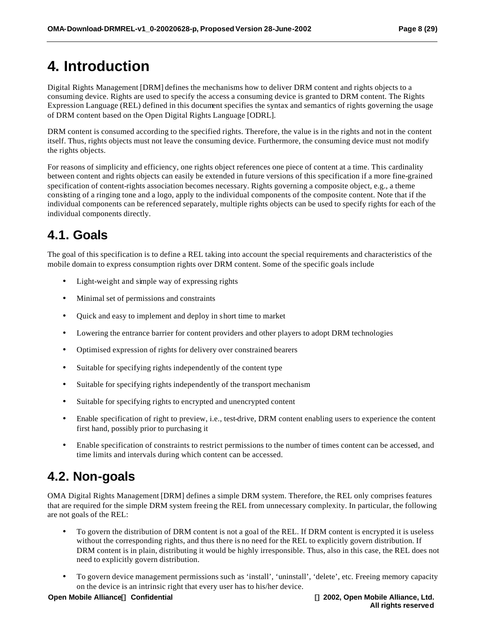# **4. Introduction**

Digital Rights Management [DRM] defines the mechanisms how to deliver DRM content and rights objects to a consuming device. Rights are used to specify the access a consuming device is granted to DRM content. The Rights Expression Language (REL) defined in this document specifies the syntax and semantics of rights governing the usage of DRM content based on the Open Digital Rights Language [ODRL].

DRM content is consumed according to the specified rights. Therefore, the value is in the rights and not in the content itself. Thus, rights objects must not leave the consuming device. Furthermore, the consuming device must not modify the rights objects.

For reasons of simplicity and efficiency, one rights object references one piece of content at a time. This cardinality between content and rights objects can easily be extended in future versions of this specification if a more fine-grained specification of content-rights association becomes necessary. Rights governing a composite object, e.g., a theme consisting of a ringing tone and a logo, apply to the individual components of the composite content. Note that if the individual components can be referenced separately, multiple rights objects can be used to specify rights for each of the individual components directly.

## **4.1. Goals**

The goal of this specification is to define a REL taking into account the special requirements and characteristics of the mobile domain to express consumption rights over DRM content. Some of the specific goals include

- Light-weight and simple way of expressing rights
- Minimal set of permissions and constraints
- Quick and easy to implement and deploy in short time to market
- Lowering the entrance barrier for content providers and other players to adopt DRM technologies
- Optimised expression of rights for delivery over constrained bearers
- Suitable for specifying rights independently of the content type
- Suitable for specifying rights independently of the transport mechanism
- Suitable for specifying rights to encrypted and unencrypted content
- Enable specification of right to preview, i.e., test-drive, DRM content enabling users to experience the content first hand, possibly prior to purchasing it
- Enable specification of constraints to restrict permissions to the number of times content can be accessed, and time limits and intervals during which content can be accessed.

### **4.2. Non-goals**

OMA Digital Rights Management [DRM] defines a simple DRM system. Therefore, the REL only comprises features that are required for the simple DRM system freeing the REL from unnecessary complexity. In particular, the following are not goals of the REL:

- To govern the distribution of DRM content is not a goal of the REL. If DRM content is encrypted it is useless without the corresponding rights, and thus there is no need for the REL to explicitly govern distribution. If DRM content is in plain, distributing it would be highly irresponsible. Thus, also in this case, the REL does not need to explicitly govern distribution.
- To govern device management permissions such as 'install', 'uninstall', 'delete', etc. Freeing memory capacity on the device is an intrinsic right that every user has to his/her device.

#### **Open Mobile AllianceÔ Confidential Ó 2002, Open Mobile Alliance, Ltd.**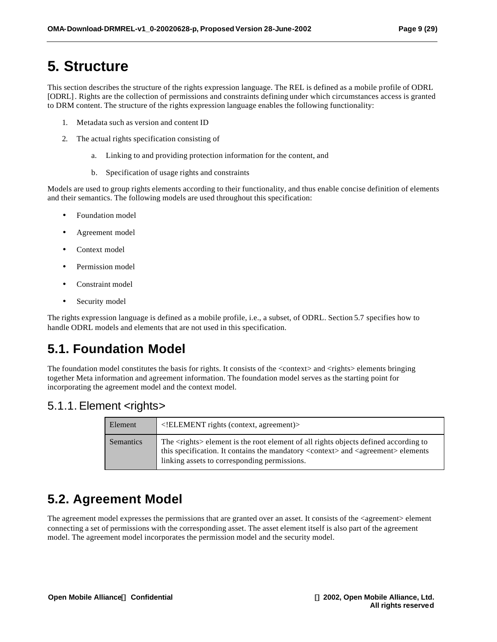# **5. Structure**

This section describes the structure of the rights expression language. The REL is defined as a mobile profile of ODRL [ODRL]. Rights are the collection of permissions and constraints defining under which circumstances access is granted to DRM content. The structure of the rights expression language enables the following functionality:

- 1. Metadata such as version and content ID
- 2. The actual rights specification consisting of
	- a. Linking to and providing protection information for the content, and
	- b. Specification of usage rights and constraints

Models are used to group rights elements according to their functionality, and thus enable concise definition of elements and their semantics. The following models are used throughout this specification:

- Foundation model
- Agreement model
- Context model
- Permission model
- Constraint model
- Security model

The rights expression language is defined as a mobile profile, i.e., a subset, of ODRL. Section 5.7 specifies how to handle ODRL models and elements that are not used in this specification.

# **5.1. Foundation Model**

The foundation model constitutes the basis for rights. It consists of the <context> and <rights> elements bringing together Meta information and agreement information. The foundation model serves as the starting point for incorporating the agreement model and the context model.

### 5.1.1. Element <rights>

| Element   | ELEMENT rights (context, agreement)                                                                                                                                                                                                                      |
|-----------|----------------------------------------------------------------------------------------------------------------------------------------------------------------------------------------------------------------------------------------------------------|
| Semantics | The <rights> element is the root element of all rights objects defined according to<br/>this specification. It contains the mandatory <context> and <agreement> elements<br/>linking assets to corresponding permissions.</agreement></context></rights> |

## **5.2. Agreement Model**

The agreement model expresses the permissions that are granted over an asset. It consists of the <agreement> element connecting a set of permissions with the corresponding asset. The asset element itself is also part of the agreement model. The agreement model incorporates the permission model and the security model.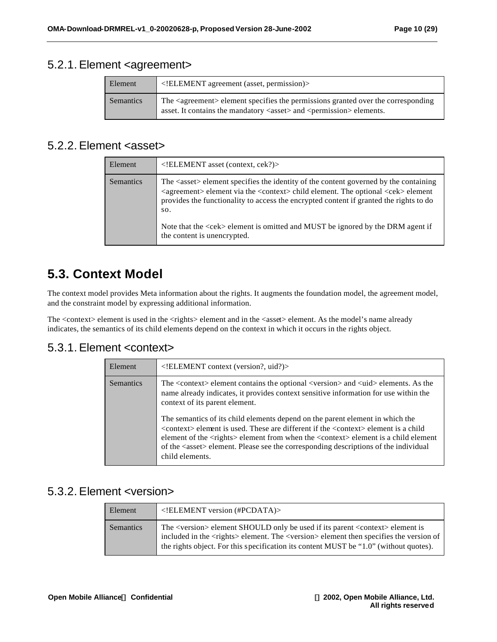### 5.2.1. Element <agreement>

| Element   | $\leq$ !ELEMENT agreement (asset, permission)>                                                                                                                                            |
|-----------|-------------------------------------------------------------------------------------------------------------------------------------------------------------------------------------------|
| Semantics | The <agreement> element specifies the permissions granted over the corresponding<br/>asset. It contains the mandatory <asset> and <permission> elements.</permission></asset></agreement> |

### 5.2.2. Element <asset>

| Element          | $\leq$ !ELEMENT asset (context, cek?)>                                                                                                                                                                                                                                                                                                                                                                                                                   |
|------------------|----------------------------------------------------------------------------------------------------------------------------------------------------------------------------------------------------------------------------------------------------------------------------------------------------------------------------------------------------------------------------------------------------------------------------------------------------------|
| <b>Semantics</b> | The <asset> element specifies the identity of the content governed by the containing<br/><agreement> element via the <context> child element. The optional <cek> element<br/>provides the functionality to access the encrypted content if granted the rights to do<br/>SO.<br/>Note that the <math>\langle</math>cek&gt; element is omitted and MUST be ignored by the DRM agent if<br/>the content is unencrypted.</cek></context></agreement></asset> |

### **5.3. Context Model**

The context model provides Meta information about the rights. It augments the foundation model, the agreement model, and the constraint model by expressing additional information.

The <context> element is used in the <rights> element and in the <asset> element. As the model's name already indicates, the semantics of its child elements depend on the context in which it occurs in the rights object.

#### 5.3.1. Element <context>

| <b>Semantics</b><br>The <context> element contains the optional <version> and <uid> elements. As the<br/>name already indicates, it provides context sensitive information for use within the</uid></version></context>                                                                                                                                                                                                                                 | Element |
|---------------------------------------------------------------------------------------------------------------------------------------------------------------------------------------------------------------------------------------------------------------------------------------------------------------------------------------------------------------------------------------------------------------------------------------------------------|---------|
| context of its parent element.<br>The semantics of its child elements depend on the parent element in which the<br><context> element is used. These are different if the <context> element is a child<br/>element of the <rights> element from when the <context> element is a child element<br/>of the <asset> element. Please see the corresponding descriptions of the individual<br/>child elements.</asset></context></rights></context></context> |         |

### 5.3.2. Element <version>

| Element   | $\leq$ !ELEMENT version (#PCDATA)>                                                                                                                                                                                                                                                                    |
|-----------|-------------------------------------------------------------------------------------------------------------------------------------------------------------------------------------------------------------------------------------------------------------------------------------------------------|
| Semantics | The <version> element SHOULD only be used if its parent <context> element is<br/>included in the <rights>element. The <version>element then specifies the version of<br/>the rights object. For this specification its content MUST be "1.0" (without quotes).</version></rights></context></version> |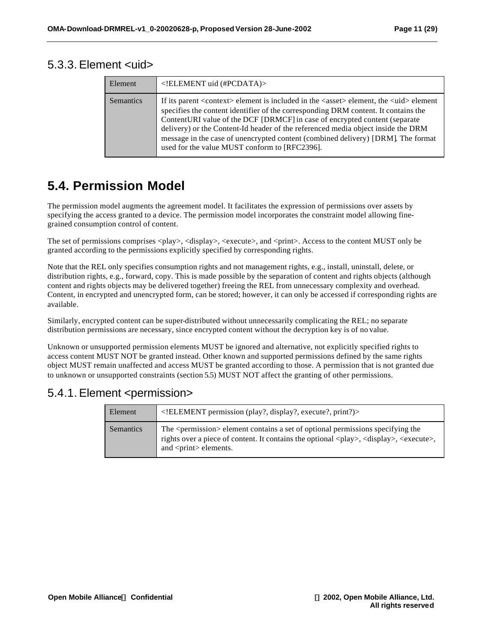#### 5.3.3. Element <uid>

| Element          | ELEMENT uid (#PCDATA)                                                                                                                                                                                                                                                                                                                                                                                                                                                                                           |
|------------------|-----------------------------------------------------------------------------------------------------------------------------------------------------------------------------------------------------------------------------------------------------------------------------------------------------------------------------------------------------------------------------------------------------------------------------------------------------------------------------------------------------------------|
| <b>Semantics</b> | If its parent <context> element is included in the <asset> element, the <uid> element<br/>specifies the content identifier of the corresponding DRM content. It contains the<br/>ContentURI value of the DCF [DRMCF] in case of encrypted content (separate<br/>delivery) or the Content-Id header of the referenced media object inside the DRM<br/>message in the case of unencrypted content (combined delivery) [DRM]. The format<br/>used for the value MUST conform to [RFC2396].</uid></asset></context> |

### **5.4. Permission Model**

The permission model augments the agreement model. It facilitates the expression of permissions over assets by specifying the access granted to a device. The permission model incorporates the constraint model allowing finegrained consumption control of content.

The set of permissions comprises <play>, <display>, <execute>, and <print>. Access to the content MUST only be granted according to the permissions explicitly specified by corresponding rights.

Note that the REL only specifies consumption rights and not management rights, e.g., install, uninstall, delete, or distribution rights, e.g., forward, copy. This is made possible by the separation of content and rights objects (although content and rights objects may be delivered together) freeing the REL from unnecessary complexity and overhead. Content, in encrypted and unencrypted form, can be stored; however, it can only be accessed if corresponding rights are available.

Similarly, encrypted content can be super-distributed without unnecessarily complicating the REL; no separate distribution permissions are necessary, since encrypted content without the decryption key is of no value.

Unknown or unsupported permission elements MUST be ignored and alternative, not explicitly specified rights to access content MUST NOT be granted instead. Other known and supported permissions defined by the same rights object MUST remain unaffected and access MUST be granted according to those. A permission that is not granted due to unknown or unsupported constraints (section 5.5) MUST NOT affect the granting of other permissions.

### 5.4.1. Element <permission>

| Element   | ELEMENT permission (play?, display?, execute?, print?)                                                                                                                                                                                                                            |
|-----------|-----------------------------------------------------------------------------------------------------------------------------------------------------------------------------------------------------------------------------------------------------------------------------------|
| Semantics | The <permission> element contains a set of optional permissions specifying the<br/>rights over a piece of content. It contains the optional <play>, <display>, <execute>,<br/>and <math>\langle</math>print<math>\rangle</math> elements.</execute></display></play></permission> |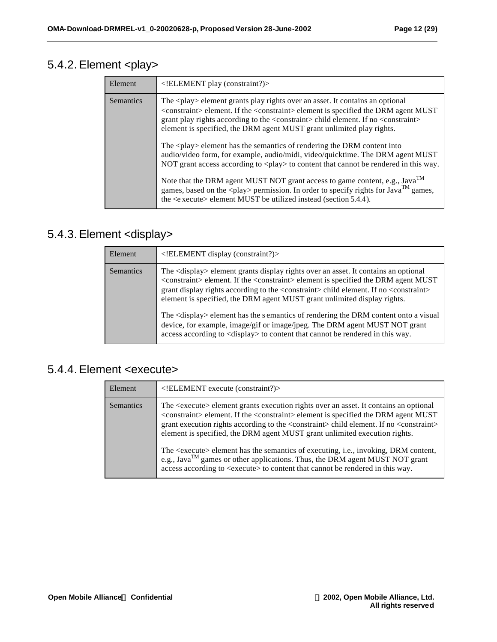### 5.4.2. Element <play>

| Element          | ELEMENT play (constraint?)                                                                                                                                                                                                                                                                                                                                                                    |
|------------------|-----------------------------------------------------------------------------------------------------------------------------------------------------------------------------------------------------------------------------------------------------------------------------------------------------------------------------------------------------------------------------------------------|
| <b>Semantics</b> | The <play> element grants play rights over an asset. It contains an optional<br/><constraint> element. If the <constraint> element is specified the DRM agent MUST<br/>grant play rights according to the <constraint> child element. If no <constraint><br/>element is specified, the DRM agent MUST grant unlimited play rights.</constraint></constraint></constraint></constraint></play> |
|                  | The <play> element has the semantics of rendering the DRM content into<br/>audio/video form, for example, audio/midi, video/quicktime. The DRM agent MUST<br/>NOT grant access according to <play> to content that cannot be rendered in this way.</play></play>                                                                                                                              |
|                  | Note that the DRM agent MUST NOT grant access to game content, e.g., Java <sup>TM</sup><br>games, based on the <play> permission. In order to specify rights for <math>Jawa^{TM}</math> games,<br/>the <e xecute=""> element MUST be utilized instead (section 5.4.4).</e></play>                                                                                                             |

### 5.4.3. Element <display>

| Element          | ELEMENT display (constraint?)                                                                                                                                                                                                                                                                                                                                                                                                                                                                                                                                                                                                                                                             |
|------------------|-------------------------------------------------------------------------------------------------------------------------------------------------------------------------------------------------------------------------------------------------------------------------------------------------------------------------------------------------------------------------------------------------------------------------------------------------------------------------------------------------------------------------------------------------------------------------------------------------------------------------------------------------------------------------------------------|
| <b>Semantics</b> | The <display> element grants display rights over an asset. It contains an optional<br/><constraint> element. If the <constraint> element is specified the DRM agent MUST<br/>grant display rights according to the <constraint> child element. If no <constraint><br/>element is specified, the DRM agent MUST grant unlimited display rights.<br/>The <display> element has the s emantics of rendering the DRM content onto a visual<br/>device, for example, image/gif or image/jpeg. The DRM agent MUST NOT grant<br/>access according to <display> to content that cannot be rendered in this way.</display></display></constraint></constraint></constraint></constraint></display> |

### 5.4.4. Element <execute>

| Element          | ELEMENT execute (constraint?)                                                                                                                                                                                                                                                                                                                                                                                                                                                                                                                                                                                   |
|------------------|-----------------------------------------------------------------------------------------------------------------------------------------------------------------------------------------------------------------------------------------------------------------------------------------------------------------------------------------------------------------------------------------------------------------------------------------------------------------------------------------------------------------------------------------------------------------------------------------------------------------|
| <b>Semantics</b> | The <execute> element grants execution rights over an asset. It contains an optional<br/><constraint> element. If the <constraint> element is specified the DRM agent MUST<br/>grant execution rights according to the <constraint> child element. If no <constraint><br/>element is specified, the DRM agent MUST grant unlimited execution rights.<br/>The <execute> element has the semantics of executing, i.e., invoking, DRM content,<br/>e.g., Java<sup>TM</sup> games or other applications. Thus, the DRM agent MUST NOT grant</execute></constraint></constraint></constraint></constraint></execute> |
|                  | access according to <execute> to content that cannot be rendered in this way.</execute>                                                                                                                                                                                                                                                                                                                                                                                                                                                                                                                         |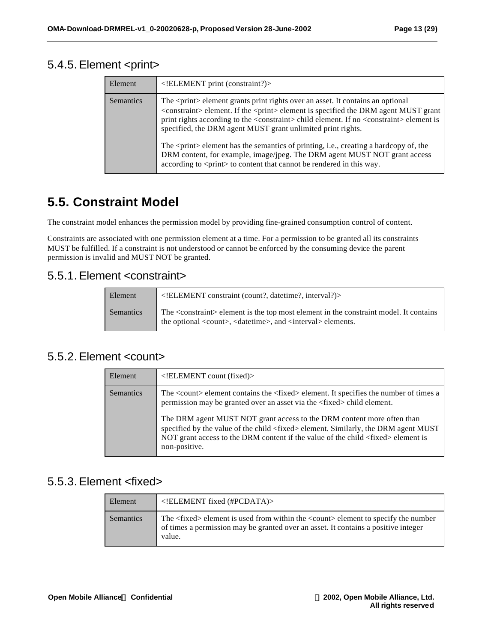### 5.4.5. Element <print>

| Element          | ELEMENT print (constraint?)                                                                                                                                                                                                                                                                                                                                                              |
|------------------|------------------------------------------------------------------------------------------------------------------------------------------------------------------------------------------------------------------------------------------------------------------------------------------------------------------------------------------------------------------------------------------|
| <b>Semantics</b> | The <print> element grants print rights over an asset. It contains an optional<br/><constraint> element. If the <print> element is specified the DRM agent MUST grant<br/>print rights according to the <constraint> child element. If no <constraint> element is<br/>specified, the DRM agent MUST grant unlimited print rights.</constraint></constraint></print></constraint></print> |
|                  | The <print> element has the semantics of printing, i.e., creating a hardcopy of, the<br/>DRM content, for example, image/jpeg. The DRM agent MUST NOT grant access<br/>according to <print> to content that cannot be rendered in this way.</print></print>                                                                                                                              |

### **5.5. Constraint Model**

The constraint model enhances the permission model by providing fine-grained consumption control of content.

Constraints are associated with one permission element at a time. For a permission to be granted all its constraints MUST be fulfilled. If a constraint is not understood or cannot be enforced by the consuming device the parent permission is invalid and MUST NOT be granted.

### 5.5.1. Element <constraint>

| Element   | $\leq$ !ELEMENT constraint (count?, date time?, interval?)                                                                                                                                      |
|-----------|-------------------------------------------------------------------------------------------------------------------------------------------------------------------------------------------------|
| Semantics | The <constraint> element is the top most element in the constraint model. It contains<br/>the optional <count>, <datetime>, and <interval> elements.</interval></datetime></count></constraint> |

#### 5.5.2. Element <count>

| Element   | $\leq$ !ELEMENT count (fixed)>                                                                                                                                                                                                                                                                                                                                                                                                                                                 |
|-----------|--------------------------------------------------------------------------------------------------------------------------------------------------------------------------------------------------------------------------------------------------------------------------------------------------------------------------------------------------------------------------------------------------------------------------------------------------------------------------------|
| Semantics | The <count> element contains the <fixed> element. It specifies the number of times a<br/>permission may be granted over an asset via the <fixed>child element.<br/>The DRM agent MUST NOT grant access to the DRM content more often than<br/>specified by the value of the child <fixed>element. Similarly, the DRM agent MUST<br/>NOT grant access to the DRM content if the value of the child <fixed> element is<br/>non-positive.</fixed></fixed></fixed></fixed></count> |
|           |                                                                                                                                                                                                                                                                                                                                                                                                                                                                                |

### 5.5.3. Element <fixed>

| Element   | $\leq$ !ELEMENT fixed (#PCDATA)>                                                                                                                                                                    |
|-----------|-----------------------------------------------------------------------------------------------------------------------------------------------------------------------------------------------------|
| Semantics | The <fixed> element is used from within the <count> element to specify the number<br/>of times a permission may be granted over an asset. It contains a positive integer<br/>value.</count></fixed> |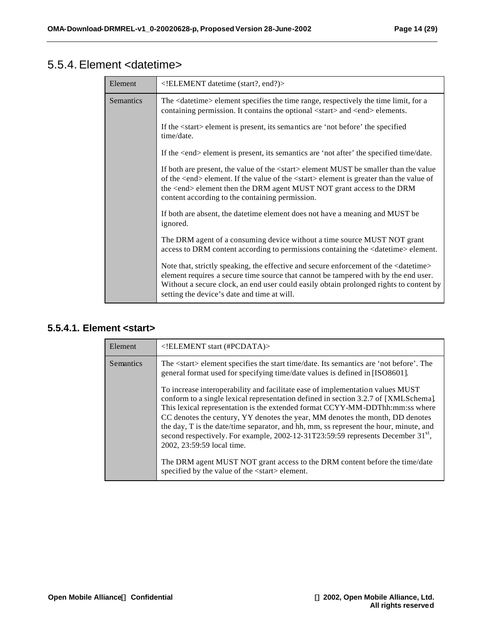### 5.5.4. Element <datetime>

| Element   | ELEMENT datetime (start?, end?)                                                                                                                                                                                                                                                                                                          |
|-----------|------------------------------------------------------------------------------------------------------------------------------------------------------------------------------------------------------------------------------------------------------------------------------------------------------------------------------------------|
| Semantics | The <datetime> element specifies the time range, respectively the time limit, for a<br/>containing permission. It contains the optional <start> and <end> elements.</end></start></datetime>                                                                                                                                             |
|           | If the <start> element is present, its semantics are 'not before' the specified<br/>time/date.</start>                                                                                                                                                                                                                                   |
|           | If the <end> element is present, its semantics are 'not after' the specified time/date.</end>                                                                                                                                                                                                                                            |
|           | If both are present, the value of the <start>element MUST be smaller than the value<br/>of the <end> element. If the value of the <start> element is greater than the value of<br/>the <end> element then the DRM agent MUST NOT grant access to the DRM<br/>content according to the containing permission.</end></start></end></start> |
|           | If both are absent, the date time element does not have a meaning and MUST be<br>ignored.                                                                                                                                                                                                                                                |
|           | The DRM agent of a consuming device without a time source MUST NOT grant<br>access to DRM content according to permissions containing the <datetime> element.</datetime>                                                                                                                                                                 |
|           | Note that, strictly speaking, the effective and secure enforcement of the <datetime><br/>element requires a secure time source that cannot be tampered with by the end user.<br/>Without a secure clock, an end user could easily obtain prolonged rights to content by<br/>setting the device's date and time at will.</datetime>       |

### **5.5.4.1. Element <start>**

| Element          | ELEMENT start (#PCDATA)                                                                                                                                                                                                                                                                                                                                                                                                                                                                                                                                                                                                                                                                                |
|------------------|--------------------------------------------------------------------------------------------------------------------------------------------------------------------------------------------------------------------------------------------------------------------------------------------------------------------------------------------------------------------------------------------------------------------------------------------------------------------------------------------------------------------------------------------------------------------------------------------------------------------------------------------------------------------------------------------------------|
| <b>Semantics</b> | The <start> element specifies the start time/date. Its semantics are 'not before'. The<br/>general format used for specifying time/date values is defined in [ISO8601].</start>                                                                                                                                                                                                                                                                                                                                                                                                                                                                                                                        |
|                  | To increase interoperability and facilitate ease of implementation values MUST<br>conform to a single lexical representation defined in section 3.2.7 of [XMLSchema].<br>This lexical representation is the extended format CCYY-MM-DDThh:mm:ss where<br>CC denotes the century, YY denotes the year, MM denotes the month, DD denotes<br>the day, T is the date/time separator, and hh, mm, ss represent the hour, minute, and<br>second respectively. For example, 2002-12-31T23:59:59 represents December 31 <sup>st</sup> ,<br>2002, 23:59:59 local time.<br>The DRM agent MUST NOT grant access to the DRM content before the time/date<br>specified by the value of the <start> element.</start> |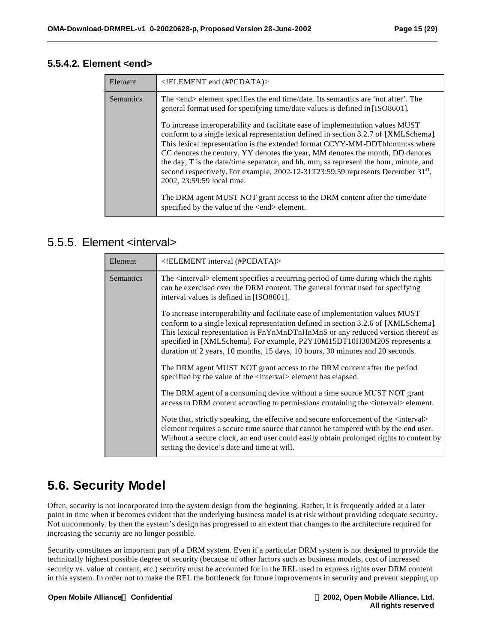#### **5.5.4.2. Element <end>**

| Element          | $\leq$ !ELEMENT end (#PCDATA)>                                                                                                                                                                                                                                                                                                                                                                                                                                                                                                                                                                                                                                                                    |
|------------------|---------------------------------------------------------------------------------------------------------------------------------------------------------------------------------------------------------------------------------------------------------------------------------------------------------------------------------------------------------------------------------------------------------------------------------------------------------------------------------------------------------------------------------------------------------------------------------------------------------------------------------------------------------------------------------------------------|
| <b>Semantics</b> | The <end> element specifies the end time/date. Its semantics are 'not after'. The<br/>general format used for specifying time/date values is defined in [ISO8601].</end>                                                                                                                                                                                                                                                                                                                                                                                                                                                                                                                          |
|                  | To increase interoperability and facilitate ease of implementation values MUST<br>conform to a single lexical representation defined in section 3.2.7 of [XMLSchema].<br>This lexical representation is the extended format CCYY-MM-DDThh:mm:ss where<br>CC denotes the century, YY denotes the year, MM denotes the month, DD denotes<br>the day, T is the date/time separator, and hh, mm, ss represent the hour, minute, and<br>second respectively. For example, 2002-12-31T23:59:59 represents December 31 <sup>st</sup> ,<br>2002, 23:59:59 local time.<br>The DRM agent MUST NOT grant access to the DRM content after the time/date<br>specified by the value of the <end> element.</end> |

### 5.5.5. Element <interval>

| Element   | ELEMENT interval (#PCDATA)                                                                                                                                                                                                                                                                                                                                                                                           |
|-----------|----------------------------------------------------------------------------------------------------------------------------------------------------------------------------------------------------------------------------------------------------------------------------------------------------------------------------------------------------------------------------------------------------------------------|
| Semantics | The <interval> element specifies a recurring period of time during which the rights<br/>can be exercised over the DRM content. The general format used for specifying<br/>interval values is defined in [ISO8601].</interval>                                                                                                                                                                                        |
|           | To increase interoperability and facilitate ease of implementation values MUST<br>conform to a single lexical representation defined in section 3.2.6 of [XMLSchema].<br>This lexical representation is PnYnMnDTnHnMnS or any reduced version thereof as<br>specified in [XMLSchema]. For example, P2Y10M15DT10H30M20S represents a<br>duration of 2 years, 10 months, 15 days, 10 hours, 30 minutes and 20 seconds. |
|           | The DRM agent MUST NOT grant access to the DRM content after the period<br>specified by the value of the <interval> element has elapsed.</interval>                                                                                                                                                                                                                                                                  |
|           | The DRM agent of a consuming device without a time source MUST NOT grant<br>access to DRM content according to permissions containing the <interval> element.</interval>                                                                                                                                                                                                                                             |
|           | Note that, strictly speaking, the effective and secure enforcement of the <interval><br/>element requires a secure time source that cannot be tampered with by the end user.<br/>Without a secure clock, an end user could easily obtain prolonged rights to content by<br/>setting the device's date and time at will.</interval>                                                                                   |

### **5.6. Security Model**

Often, security is not incorporated into the system design from the beginning. Rather, it is frequently added at a later point in time when it becomes evident that the underlying business model is at risk without providing adequate security. Not uncommonly, by then the system's design has progressed to an extent that changes to the architecture required for increasing the security are no longer possible.

Security constitutes an important part of a DRM system. Even if a particular DRM system is not designed to provide the technically highest possible degree of security (because of other factors such as business models, cost of increased security vs. value of content, etc.) security must be accounted for in the REL used to express rights over DRM content in this system. In order not to make the REL the bottleneck for future improvements in security and prevent stepping up

**Open Mobile AllianceÔ Confidential Ó 2002, Open Mobile Alliance, Ltd.**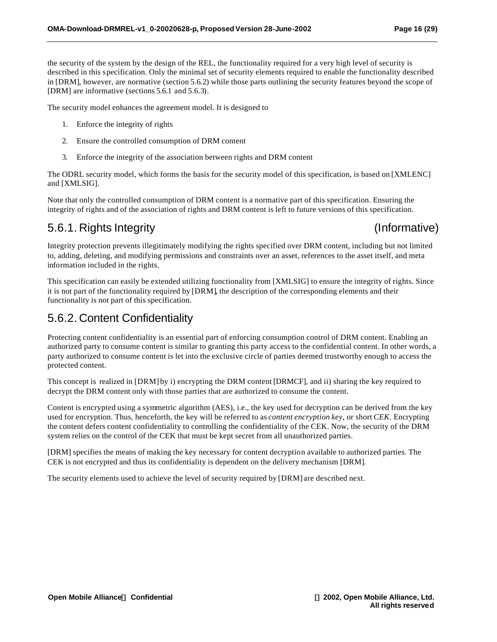the security of the system by the design of the REL, the functionality required for a very high level of security is described in this specification. Only the minimal set of security elements required to enable the functionality described in [DRM], however, are normative (section 5.6.2) while those parts outlining the security features beyond the scope of [DRM] are informative (sections 5.6.1 and 5.6.3).

The security model enhances the agreement model. It is designed to

- 1. Enforce the integrity of rights
- 2. Ensure the controlled consumption of DRM content
- 3. Enforce the integrity of the association between rights and DRM content

The ODRL security model, which forms the basis for the security model of this specification, is based on [XMLENC] and [XMLSIG].

Note that only the controlled consumption of DRM content is a normative part of this specification. Ensuring the integrity of rights and of the association of rights and DRM content is left to future versions of this specification.

### 5.6.1. Rights Integrity (Informative)

Integrity protection prevents illegitimately modifying the rights specified over DRM content, including but not limited to, adding, deleting, and modifying permissions and constraints over an asset, references to the asset itself, and meta information included in the rights.

This specification can easily be extended utilizing functionality from [XMLSIG] to ensure the integrity of rights. Since it is not part of the functionality required by [DRM], the description of the corresponding elements and their functionality is not part of this specification.

### 5.6.2. Content Confidentiality

Protecting content confidentiality is an essential part of enforcing consumption control of DRM content. Enabling an authorized party to consume content is similar to granting this party access to the confidential content. In other words, a party authorized to consume content is let into the exclusive circle of parties deemed trustworthy enough to access the protected content.

This concept is realized in [DRM] by i) encrypting the DRM content [DRMCF], and ii) sharing the key required to decrypt the DRM content only with those parties that are authorized to consume the content.

Content is encrypted using a symmetric algorithm (AES), i.e., the key used for decryption can be derived from the key used for encryption. Thus, henceforth, the key will be referred to as *content encryption key*, or short *CEK*. Encrypting the content defers content confidentiality to controlling the confidentiality of the CEK. Now, the security of the DRM system relies on the control of the CEK that must be kept secret from all unauthorized parties.

[DRM] specifies the means of making the key necessary for content decryption available to authorized parties. The CEK is not encrypted and thus its confidentiality is dependent on the delivery mechanism [DRM].

The security elements used to achieve the level of security required by [DRM] are described next.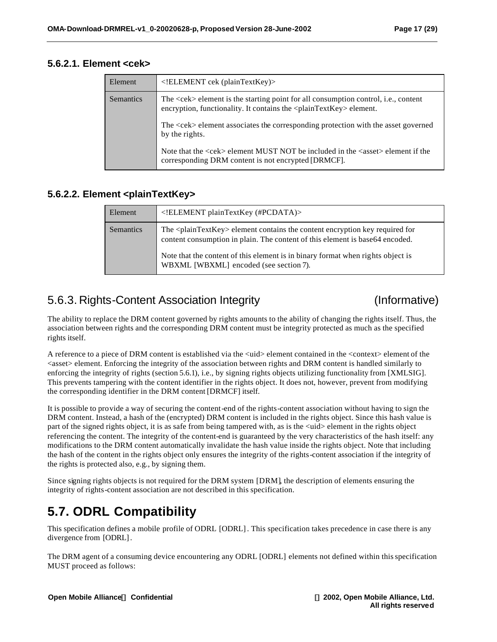#### **5.6.2.1. Element <cek>**

| Element          | ELEMENT cek (plainTextKey)                                                                                                                                                     |
|------------------|--------------------------------------------------------------------------------------------------------------------------------------------------------------------------------|
| <b>Semantics</b> | The <cek> element is the starting point for all consumption control, i.e., content<br/>encryption, functionality. It contains the <plaintextkey> element.</plaintextkey></cek> |
|                  | The <cek> element associates the corresponding protection with the asset governed<br/>by the rights.</cek>                                                                     |
|                  | Note that the $\langle$ cek> element MUST NOT be included in the $\langle$ asset> element if the<br>corresponding DRM content is not encrypted [DRMCF].                        |

#### **5.6.2.2. Element <plainTextKey>**

| Element          | $\leq$ !ELEMENT plainTextKey (#PCDATA)>                                                                                                                                                                                                                         |
|------------------|-----------------------------------------------------------------------------------------------------------------------------------------------------------------------------------------------------------------------------------------------------------------|
| <b>Semantics</b> | The <plaintextkey> element contains the content encryption key required for<br/>content consumption in plain. The content of this element is base64 encoded.<br/>Note that the content of this element is in binary format when rights object is</plaintextkey> |
|                  | WBXML [WBXML] encoded (see section 7).                                                                                                                                                                                                                          |

### 5.6.3. Rights-Content Association Integrity (Informative)

The ability to replace the DRM content governed by rights amounts to the ability of changing the rights itself. Thus, the association between rights and the corresponding DRM content must be integrity protected as much as the specified rights itself.

A reference to a piece of DRM content is established via the  $\lt$ uid $>$  element contained in the  $\lt$ context $\gt$  element of the  $\langle$ asset> element. Enforcing the integrity of the association between rights and DRM content is handled similarly to enforcing the integrity of rights (section 5.6.1), i.e., by signing rights objects utilizing functionality from [XMLSIG]. This prevents tampering with the content identifier in the rights object. It does not, however, prevent from modifying the corresponding identifier in the DRM content [DRMCF] itself.

It is possible to provide a way of securing the content-end of the rights-content association without having to sign the DRM content. Instead, a hash of the (encrypted) DRM content is included in the rights object. Since this hash value is part of the signed rights object, it is as safe from being tampered with, as is the  $\langle \text{uid} \rangle$  element in the rights object referencing the content. The integrity of the content-end is guaranteed by the very characteristics of the hash itself: any modifications to the DRM content automatically invalidate the hash value inside the rights object. Note that including the hash of the content in the rights object only ensures the integrity of the rights-content association if the integrity of the rights is protected also, e.g., by signing them.

Since signing rights objects is not required for the DRM system [DRM], the description of elements ensuring the integrity of rights-content association are not described in this specification.

## **5.7. ODRL Compatibility**

This specification defines a mobile profile of ODRL [ODRL]. This specification takes precedence in case there is any divergence from [ODRL].

The DRM agent of a consuming device encountering any ODRL [ODRL] elements not defined within this specification MUST proceed as follows: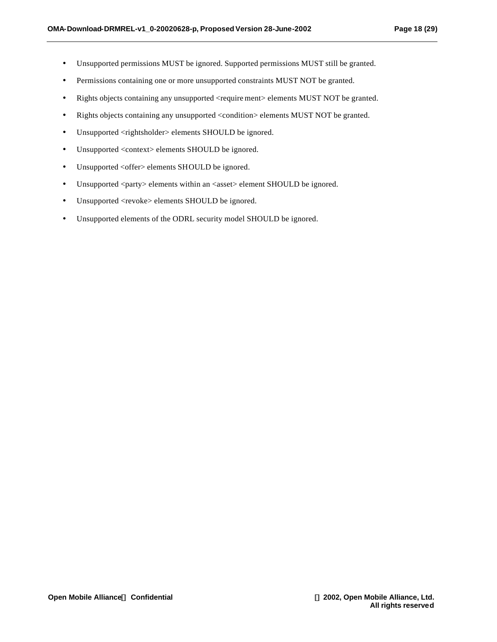- Unsupported permissions MUST be ignored. Supported permissions MUST still be granted.
- Permissions containing one or more unsupported constraints MUST NOT be granted.
- Rights objects containing any unsupported <require ment> elements MUST NOT be granted.
- Rights objects containing any unsupported <condition> elements MUST NOT be granted.
- Unsupported <rightsholder> elements SHOULD be ignored.
- Unsupported <context> elements SHOULD be ignored.
- Unsupported <offer> elements SHOULD be ignored.
- Unsupported <party> elements within an <asset> element SHOULD be ignored.
- Unsupported <revoke> elements SHOULD be ignored.
- Unsupported elements of the ODRL security model SHOULD be ignored.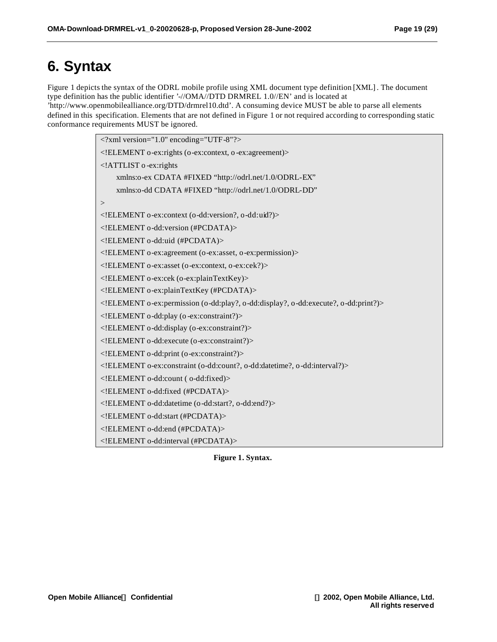# **6. Syntax**

Figure 1 depicts the syntax of the ODRL mobile profile using XML document type definition [XML]. The document type definition has the public identifier '-//OMA//DTD DRMREL 1.0//EN' and is located at 'http://www.openmobilealliance.org/DTD/drmrel10.dtd'. A consuming device MUST be able to parse all elements defined in this specification. Elements that are not defined in Figure 1 or not required according to corresponding static conformance requirements MUST be ignored.

> <?xml version="1.0" encoding="UTF-8"?> <!ELEMENT o-ex:rights (o-ex:context, o -ex:agreement)> <!ATTLIST o -ex:rights xmlns:o-ex CDATA #FIXED "http://odrl.net/1.0/ODRL-EX" xmlns:o-dd CDATA #FIXED "http://odrl.net/1.0/ODRL-DD"  $\geq$ <!ELEMENT o-ex:context (o-dd:version?, o-dd:uid?)> <!ELEMENT o-dd:version (#PCDATA)> <!ELEMENT o-dd:uid (#PCDATA)> <!ELEMENT o-ex:agreement (o-ex:asset, o-ex:permission)> <!ELEMENT o-ex:asset (o-ex:context, o-ex:cek?)> <!ELEMENT o-ex:cek (o-ex:plainTextKey)> <!ELEMENT o-ex:plainTextKey (#PCDATA)> <!ELEMENT o-ex:permission (o-dd:play?, o-dd:display?, o-dd:execute?, o-dd:print?)> <!ELEMENT o-dd:play (o -ex:constraint?)> <!ELEMENT o-dd:display (o-ex:constraint?)> <!ELEMENT o-dd:execute (o-ex:constraint?)> <!ELEMENT o-dd:print (o-ex:constraint?)> <!ELEMENT o-ex:constraint (o-dd:count?, o-dd:datetime?, o-dd:interval?)> <!ELEMENT o-dd:count ( o-dd:fixed)> <!ELEMENT o-dd:fixed (#PCDATA)> <!ELEMENT o-dd:datetime (o-dd:start?, o-dd:end?)> <!ELEMENT o-dd:start (#PCDATA)> <!ELEMENT o-dd:end (#PCDATA)> <!ELEMENT o-dd:interval (#PCDATA)>

**Figure 1. Syntax.**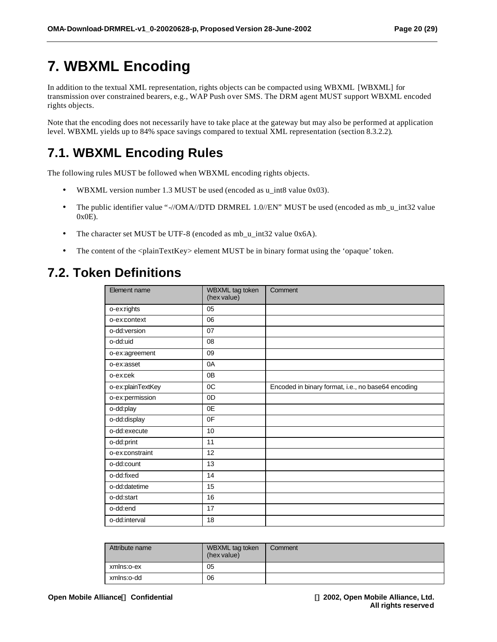# **7. WBXML Encoding**

In addition to the textual XML representation, rights objects can be compacted using WBXML [WBXML] for transmission over constrained bearers, e.g., WAP Push over SMS. The DRM agent MUST support WBXML encoded rights objects.

Note that the encoding does not necessarily have to take place at the gateway but may also be performed at application level. WBXML yields up to 84% space savings compared to textual XML representation (section 8.3.2.2).

### **7.1. WBXML Encoding Rules**

The following rules MUST be followed when WBXML encoding rights objects.

- WBXML version number 1.3 MUST be used (encoded as u\_int8 value 0x03).
- The public identifier value "-//OMA//DTD DRMREL 1.0//EN" MUST be used (encoded as mb\_u\_int32 value 0x0E).
- The character set MUST be UTF-8 (encoded as mb\_u\_int32 value 0x6A).
- The content of the <plainTextKey> element MUST be in binary format using the 'opaque' token.

# **7.2. Token Definitions**

| Element name      | WBXML tag token<br>(hex value) | Comment                                            |
|-------------------|--------------------------------|----------------------------------------------------|
| o-exrights        | 05                             |                                                    |
| o-ex:context      | 06                             |                                                    |
| o-dd:version      | 07                             |                                                    |
| o-dd:uid          | 08                             |                                                    |
| o-ex:agreement    | 09                             |                                                    |
| o-ex:asset        | 0A                             |                                                    |
| o-excek           | 0 <sub>B</sub>                 |                                                    |
| o-ex:plainTextKey | OC                             | Encoded in binary format, i.e., no base64 encoding |
| o-ex:permission   | 0 <sub>D</sub>                 |                                                    |
| o-dd:play         | 0E                             |                                                    |
| o-dd:display      | 0F                             |                                                    |
| o-dd:execute      | 10                             |                                                    |
| o-dd:print        | 11                             |                                                    |
| o-exconstraint    | 12                             |                                                    |
| o-dd:count        | 13                             |                                                    |
| o-dd:fixed        | 14                             |                                                    |
| o-dd:datetime     | 15                             |                                                    |
| o-dd:start        | 16                             |                                                    |
| o-dd:end          | 17                             |                                                    |
| o-dd:interval     | 18                             |                                                    |

| Attribute name | WBXML tag token<br>(hex value) | Comment |
|----------------|--------------------------------|---------|
| xmlns:o-ex     | 05                             |         |
| xmlns:o-dd     | 06                             |         |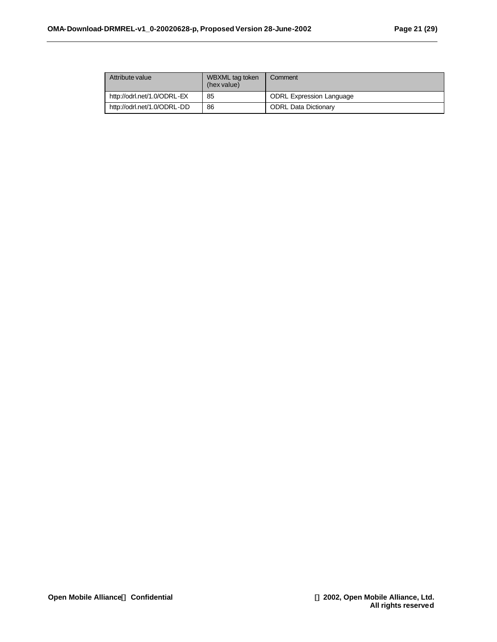| Attribute value             | WBXML tag token<br>(hex value) | Comment                         |
|-----------------------------|--------------------------------|---------------------------------|
| http://odrl.net/1.0/ODRL-EX | 85                             | <b>ODRL Expression Language</b> |
| http://odrl.net/1.0/ODRL-DD | 86                             | <b>ODRL Data Dictionary</b>     |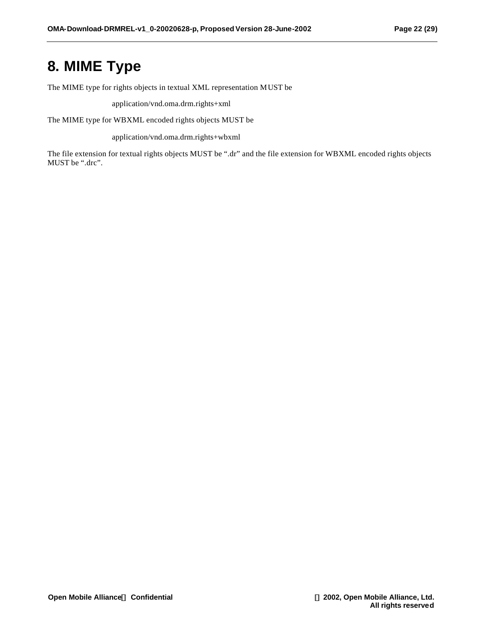# **8. MIME Type**

The MIME type for rights objects in textual XML representation MUST be

application/vnd.oma.drm.rights+xml

The MIME type for WBXML encoded rights objects MUST be

application/vnd.oma.drm.rights+wbxml

The file extension for textual rights objects MUST be ".dr" and the file extension for WBXML encoded rights objects MUST be ".drc".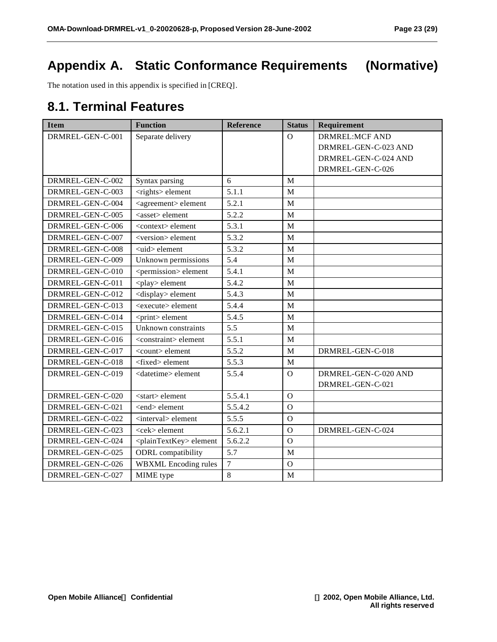# **Appendix A. Static Conformance Requirements (Normative)**

The notation used in this appendix is specified in [CREQ].

### **8.1. Terminal Features**

| <b>Item</b>      | <b>Function</b>                       | <b>Reference</b> | <b>Status</b>  | Requirement           |
|------------------|---------------------------------------|------------------|----------------|-----------------------|
| DRMREL-GEN-C-001 | Separate delivery                     |                  | $\Omega$       | <b>DRMREL:MCF AND</b> |
|                  |                                       |                  |                | DRMREL-GEN-C-023 AND  |
|                  |                                       |                  |                | DRMREL-GEN-C-024 AND  |
|                  |                                       |                  |                | DRMREL-GEN-C-026      |
| DRMREL-GEN-C-002 | Syntax parsing                        | 6                | M              |                       |
| DRMREL-GEN-C-003 | <rights> element</rights>             | 5.1.1            | $\mathbf M$    |                       |
| DRMREL-GEN-C-004 | <agreement> element</agreement>       | 5.2.1            | M              |                       |
| DRMREL-GEN-C-005 | <asset> element</asset>               | 5.2.2            | M              |                       |
| DRMREL-GEN-C-006 | <context> element</context>           | 5.3.1            | M              |                       |
| DRMREL-GEN-C-007 | <version> element</version>           | 5.3.2            | M              |                       |
| DRMREL-GEN-C-008 | <uid> element</uid>                   | 5.3.2            | M              |                       |
| DRMREL-GEN-C-009 | Unknown permissions                   | 5.4              | M              |                       |
| DRMREL-GEN-C-010 | <permission> element</permission>     | 5.4.1            | M              |                       |
| DRMREL-GEN-C-011 | <play> element</play>                 | 5.4.2            | M              |                       |
| DRMREL-GEN-C-012 | <display> element</display>           | 5.4.3            | M              |                       |
| DRMREL-GEN-C-013 | <execute> element</execute>           | 5.4.4            | M              |                       |
| DRMREL-GEN-C-014 | <print>element</print>                | 5.4.5            | M              |                       |
| DRMREL-GEN-C-015 | Unknown constraints                   | 5.5              | M              |                       |
| DRMREL-GEN-C-016 | <constraint> element</constraint>     | 5.5.1            | M              |                       |
| DRMREL-GEN-C-017 | <count> element</count>               | 5.5.2            | M              | DRMREL-GEN-C-018      |
| DRMREL-GEN-C-018 | $<$ fixed $>$ element                 | 5.5.3            | M              |                       |
| DRMREL-GEN-C-019 | <datetime> element</datetime>         | 5.5.4            | $\mathbf O$    | DRMREL-GEN-C-020 AND  |
|                  |                                       |                  |                | DRMREL-GEN-C-021      |
| DRMREL-GEN-C-020 | <start> element</start>               | 5.5.4.1          | $\Omega$       |                       |
| DRMREL-GEN-C-021 | <end> element</end>                   | 5.5.4.2          | $\Omega$       |                       |
| DRMREL-GEN-C-022 | <interval> element</interval>         | 5.5.5            | $\overline{O}$ |                       |
| DRMREL-GEN-C-023 | <cek> element</cek>                   | 5.6.2.1          | $\Omega$       | DRMREL-GEN-C-024      |
| DRMREL-GEN-C-024 | <plaintextkey> element</plaintextkey> | 5.6.2.2          | $\Omega$       |                       |
| DRMREL-GEN-C-025 | <b>ODRL</b> compatibility             | 5.7              | M              |                       |
| DRMREL-GEN-C-026 | <b>WBXML</b> Encoding rules           | $\boldsymbol{7}$ | $\Omega$       |                       |
| DRMREL-GEN-C-027 | MIME type                             | $8\,$            | M              |                       |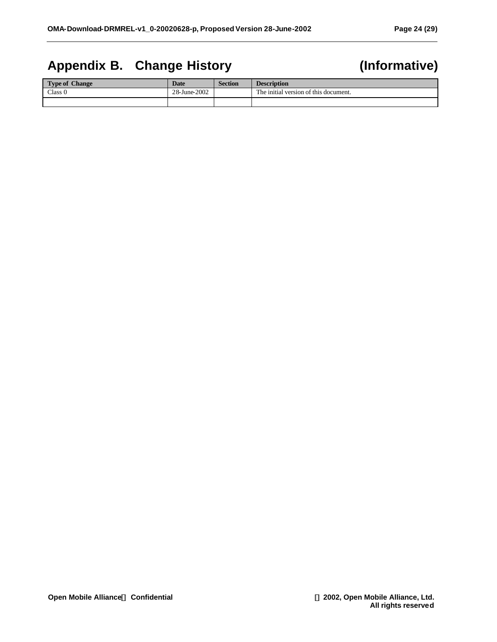# **Appendix B. Change History (Informative)**

| <b>Type of Change</b> | <b>Date</b>  | <b>Section</b> | <b>Description</b>                    |
|-----------------------|--------------|----------------|---------------------------------------|
| Class 0               | 28-June-2002 |                | The initial version of this document. |
|                       |              |                |                                       |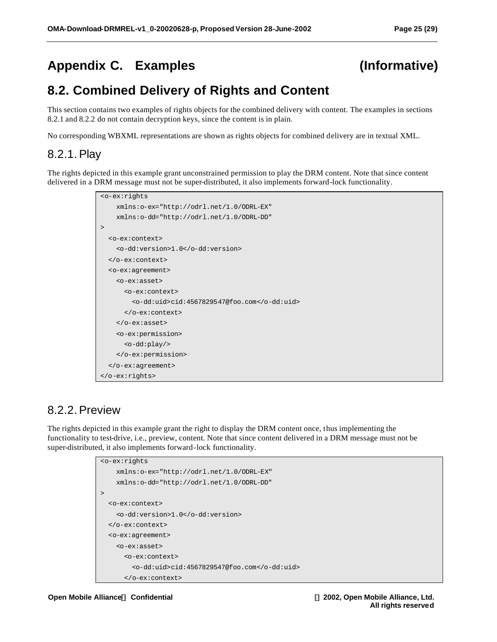# **Appendix C. Examples (Informative)**

# **8.2. Combined Delivery of Rights and Content**

This section contains two examples of rights objects for the combined delivery with content. The examples in sections 8.2.1 and 8.2.2 do not contain decryption keys, since the content is in plain.

No corresponding WBXML representations are shown as rights objects for combined delivery are in textual XML.

### 8.2.1. Play

The rights depicted in this example grant unconstrained permission to play the DRM content. Note that since content delivered in a DRM message must not be super-distributed, it also implements forward-lock functionality.

```
<o-ex:rights
    xmlns:o-ex="http://odrl.net/1.0/ODRL-EX"
    xmlns:o-dd="http://odrl.net/1.0/ODRL-DD"
>
   <o-ex:context>
     <o-dd:version>1.0</o-dd:version>
   </o-ex:context>
   <o-ex:agreement>
     <o-ex:asset>
       <o-ex:context>
         <o-dd:uid>cid:4567829547@foo.com</o-dd:uid>
       </o-ex:context>
     </o-ex:asset>
     <o-ex:permission>
       <o-dd:play/>
     </o-ex:permission>
   </o-ex:agreement>
</o-ex:rights>
```
### 8.2.2. Preview

The rights depicted in this example grant the right to display the DRM content once, thus implementing the functionality to test-drive, i.e., preview, content. Note that since content delivered in a DRM message must not be super-distributed, it also implements forward-lock functionality.

```
<o-ex:rights
    xmlns:o-ex="http://odrl.net/1.0/ODRL-EX"
    xmlns:o-dd="http://odrl.net/1.0/ODRL-DD"
>
  <o-ex:context>
     <o-dd:version>1.0</o-dd:version>
  </o-ex:context>
  <o-ex:agreement>
     <o-ex:asset>
       <o-ex:context>
         <o-dd:uid>cid:4567829547@foo.com</o-dd:uid>
       </o-ex:context>
```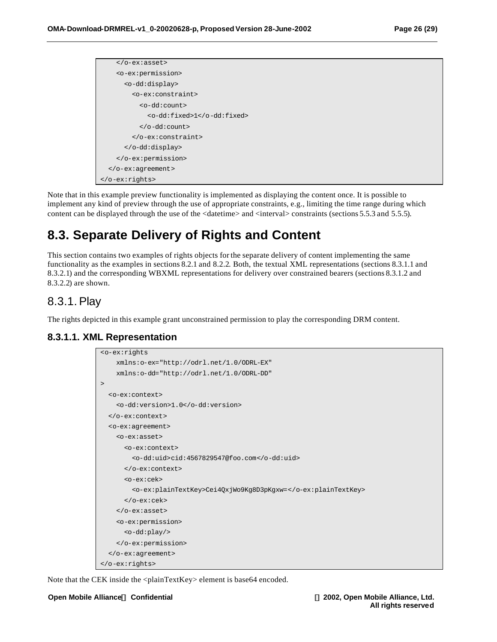```
 </o-ex:asset>
     <o-ex:permission>
       <o-dd:display>
         <o-ex:constraint>
           <o-dd:count>
              <o-dd:fixed>1</o-dd:fixed>
           </o-dd:count>
         </o-ex:constraint>
       </o-dd:display>
     </o-ex:permission>
   </o-ex:agreement>
</o-ex:rights>
```
Note that in this example preview functionality is implemented as displaying the content once. It is possible to implement any kind of preview through the use of appropriate constraints, e.g., limiting the time range during which content can be displayed through the use of the <datetime> and <interval> constraints (sections 5.5.3 and 5.5.5).

## **8.3. Separate Delivery of Rights and Content**

This section contains two examples of rights objects for the separate delivery of content implementing the same functionality as the examples in sections 8.2.1 and 8.2.2. Both, the textual XML representations (sections 8.3.1.1 and 8.3.2.1) and the corresponding WBXML representations for delivery over constrained bearers (sections 8.3.1.2 and 8.3.2.2) are shown.

#### 8.3.1. Play

The rights depicted in this example grant unconstrained permission to play the corresponding DRM content.

#### **8.3.1.1. XML Representation**

```
<o-ex:rights
    xmlns:o-ex="http://odrl.net/1.0/ODRL-EX"
    xmlns:o-dd="http://odrl.net/1.0/ODRL-DD"
\overline{\phantom{a}} <o-ex:context>
     <o-dd:version>1.0</o-dd:version>
   </o-ex:context>
   <o-ex:agreement>
     <o-ex:asset>
       <o-ex:context>
          <o-dd:uid>cid:4567829547@foo.com</o-dd:uid>
       </o-ex:context>
       <o-ex:cek>
          <o-ex:plainTextKey>Cei4QxjWo9Kg8D3pKgxw=</o-ex:plainTextKey>
       </o-ex:cek>
     </o-ex:asset>
     <o-ex:permission>
       <o-dd:play/>
     </o-ex:permission>
   </o-ex:agreement>
</o-ex:rights>
```
Note that the CEK inside the <plainTextKey> element is base64 encoded.

#### **Open Mobile AllianceÔ Confidential Ó 2002, Open Mobile Alliance, Ltd.**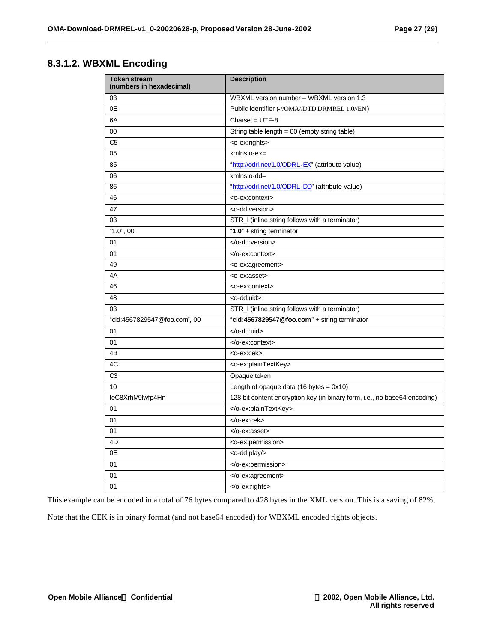#### **8.3.1.2. WBXML Encoding**

| <b>Token stream</b><br>(numbers in hexadecimal) | <b>Description</b>                                                        |  |  |
|-------------------------------------------------|---------------------------------------------------------------------------|--|--|
| 03                                              | WBXML version number - WBXML version 1.3                                  |  |  |
| 0E                                              | Public identifier (-//OMA//DTD DRMREL 1.0//EN)                            |  |  |
| 6A                                              | $Character = UTF-8$                                                       |  |  |
| 00                                              | String table length = 00 (empty string table)                             |  |  |
| C <sub>5</sub>                                  | <o-ex:rights></o-ex:rights>                                               |  |  |
| 05                                              | $xmlns:o-ex=$                                                             |  |  |
| 85                                              | "http://odrl.net/1.0/ODRL-EX" (attribute value)                           |  |  |
| 06                                              | xmlns:o-dd=                                                               |  |  |
| 86                                              | "http://odrl.net/1.0/ODRL-DD" (attribute value)                           |  |  |
| 46                                              | <o-ex:context></o-ex:context>                                             |  |  |
| 47                                              | <o-dd:version></o-dd:version>                                             |  |  |
| 03                                              | STR_I (inline string follows with a terminator)                           |  |  |
| "1.0", 00                                       | "1.0" + string terminator                                                 |  |  |
| 01                                              |                                                                           |  |  |
| 01                                              |                                                                           |  |  |
| 49                                              | <o-ex:agreement></o-ex:agreement>                                         |  |  |
| 4A                                              | <o-ex:asset></o-ex:asset>                                                 |  |  |
| 46                                              | <o-ex:context></o-ex:context>                                             |  |  |
| 48                                              | <o-dd:uid></o-dd:uid>                                                     |  |  |
| 03                                              | STR_I (inline string follows with a terminator)                           |  |  |
| "cid:4567829547@foo.com", 00                    | "cid:4567829547@foo.com" + string terminator                              |  |  |
| 01                                              |                                                                           |  |  |
| 01                                              |                                                                           |  |  |
| 4B                                              | <o-ex:cek></o-ex:cek>                                                     |  |  |
| 4C                                              | <o-ex:plaintextkey></o-ex:plaintextkey>                                   |  |  |
| C <sub>3</sub>                                  | Opaque token                                                              |  |  |
| 10                                              | Length of opaque data (16 bytes = $0x10$ )                                |  |  |
| leC8XrhM9lwfp4Hn                                | 128 bit content encryption key (in binary form, i.e., no base64 encoding) |  |  |
| 01                                              |                                                                           |  |  |
| 01                                              | $<$ /0-ex:cek>                                                            |  |  |
| 01                                              |                                                                           |  |  |
| 4D                                              | <o-ex:permission></o-ex:permission>                                       |  |  |
| 0E                                              | <o-dd:play></o-dd:play>                                                   |  |  |
| 01                                              |                                                                           |  |  |
| 01                                              |                                                                           |  |  |
| 01                                              | $\langle$ o-exrights>                                                     |  |  |

This example can be encoded in a total of 76 bytes compared to 428 bytes in the XML version. This is a saving of 82%.

Note that the CEK is in binary format (and not base64 encoded) for WBXML encoded rights objects.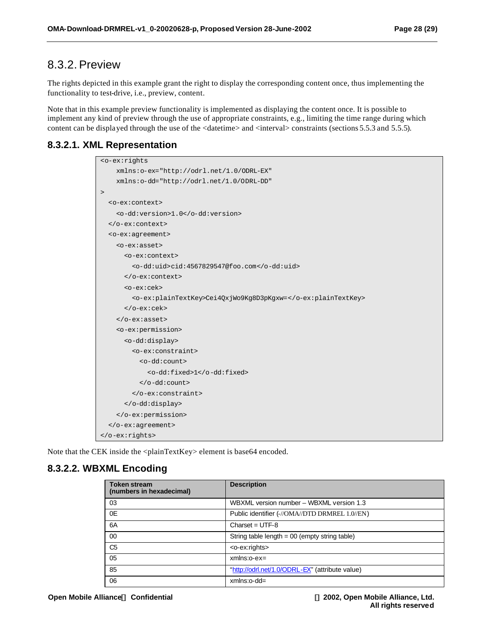#### 8.3.2. Preview

The rights depicted in this example grant the right to display the corresponding content once, thus implementing the functionality to test-drive, i.e., preview, content.

Note that in this example preview functionality is implemented as displaying the content once. It is possible to implement any kind of preview through the use of appropriate constraints, e.g., limiting the time range during which content can be displayed through the use of the <datetime> and <interval> constraints (sections 5.5.3 and 5.5.5).

#### **8.3.2.1. XML Representation**

| <o-ex:rights< th=""></o-ex:rights<>                          |
|--------------------------------------------------------------|
| xmlns:o-ex="http://odrl.net/1.0/ODRL-EX"                     |
| xmlns:o-dd="http://odrl.net/1.0/ODRL-DD"                     |
| $\, > \,$                                                    |
| <o-ex:context></o-ex:context>                                |
| <o-dd:version>1.0</o-dd:version>                             |
|                                                              |
| <o-ex:agreement></o-ex:agreement>                            |
| <o-ex:asset></o-ex:asset>                                    |
| <o-ex:context></o-ex:context>                                |
| <o-dd:uid>cid:4567829547@foo.com</o-dd:uid>                  |
|                                                              |
| $o-ex:cex$                                                   |
| <o-ex:plaintextkey>Cei4QxjWo9Kq8D3pKqxw=</o-ex:plaintextkey> |
| $\langle$ /0-ex $:$ cek>                                     |
| $\langle$ /0-ex:asset>                                       |
| <o-ex:permission></o-ex:permission>                          |
| <o-dd:display></o-dd:display>                                |
| <o-ex:constraint></o-ex:constraint>                          |
| <o-dd:count></o-dd:count>                                    |
| <o-dd:fixed>1</o-dd:fixed>                                   |
| $\langle$ /0-dd:count>                                       |
|                                                              |
|                                                              |
|                                                              |
|                                                              |
|                                                              |

Note that the CEK inside the <plainTextKey> element is base64 encoded.

#### **8.3.2.2. WBXML Encoding**

| <b>Token stream</b><br>(numbers in hexadecimal) | <b>Description</b>                              |
|-------------------------------------------------|-------------------------------------------------|
| 03                                              | WBXML version number - WBXML version 1.3        |
| 0E                                              | Public identifier (-//OMA//DTD DRMREL 1.0//EN)  |
| 6A                                              | Charset = $UTF-8$                               |
| 00                                              | String table length $= 00$ (empty string table) |
| C <sub>5</sub>                                  | <o-ex:rights></o-ex:rights>                     |
| 05                                              | $xmlns:o-ex=$                                   |
| 85                                              | "http://odrl.net/1.0/ODRL-EX" (attribute value) |
| 06                                              | $xmlns:o-dd=$                                   |